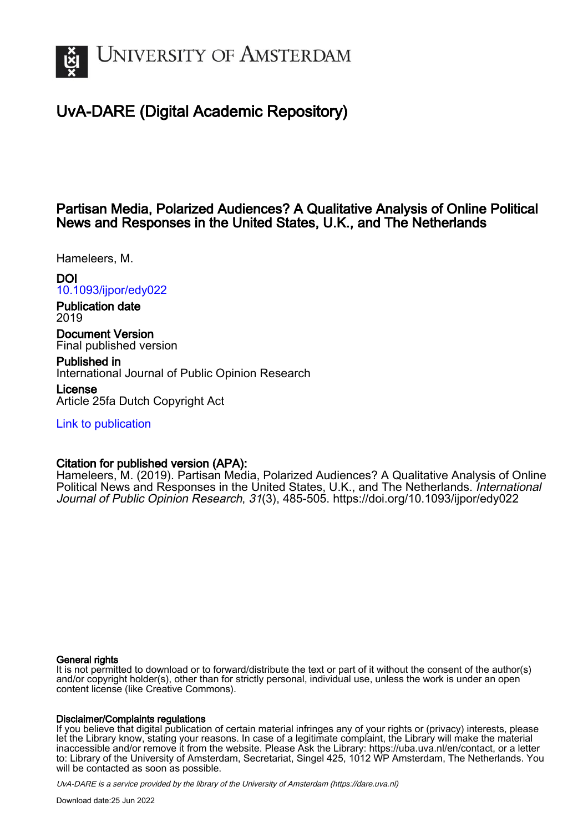

# UvA-DARE (Digital Academic Repository)

# Partisan Media, Polarized Audiences? A Qualitative Analysis of Online Political News and Responses in the United States, U.K., and The Netherlands

Hameleers, M.

DOI

[10.1093/ijpor/edy022](https://doi.org/10.1093/ijpor/edy022)

Publication date 2019

Document Version Final published version

Published in International Journal of Public Opinion Research

License Article 25fa Dutch Copyright Act

[Link to publication](https://dare.uva.nl/personal/pure/en/publications/partisan-media-polarized-audiences-a-qualitative-analysis-of-online-political-news-and-responses-in-the-united-states-uk-and-the-netherlands(ae8fbe64-3c97-4bd5-b4de-4bccae44d1b5).html)

# Citation for published version (APA):

Hameleers, M. (2019). Partisan Media, Polarized Audiences? A Qualitative Analysis of Online Political News and Responses in the United States, U.K., and The Netherlands. International Journal of Public Opinion Research, 31(3), 485-505. <https://doi.org/10.1093/ijpor/edy022>

## General rights

It is not permitted to download or to forward/distribute the text or part of it without the consent of the author(s) and/or copyright holder(s), other than for strictly personal, individual use, unless the work is under an open content license (like Creative Commons).

## Disclaimer/Complaints regulations

If you believe that digital publication of certain material infringes any of your rights or (privacy) interests, please let the Library know, stating your reasons. In case of a legitimate complaint, the Library will make the material inaccessible and/or remove it from the website. Please Ask the Library: https://uba.uva.nl/en/contact, or a letter to: Library of the University of Amsterdam, Secretariat, Singel 425, 1012 WP Amsterdam, The Netherlands. You will be contacted as soon as possible.

UvA-DARE is a service provided by the library of the University of Amsterdam (http*s*://dare.uva.nl)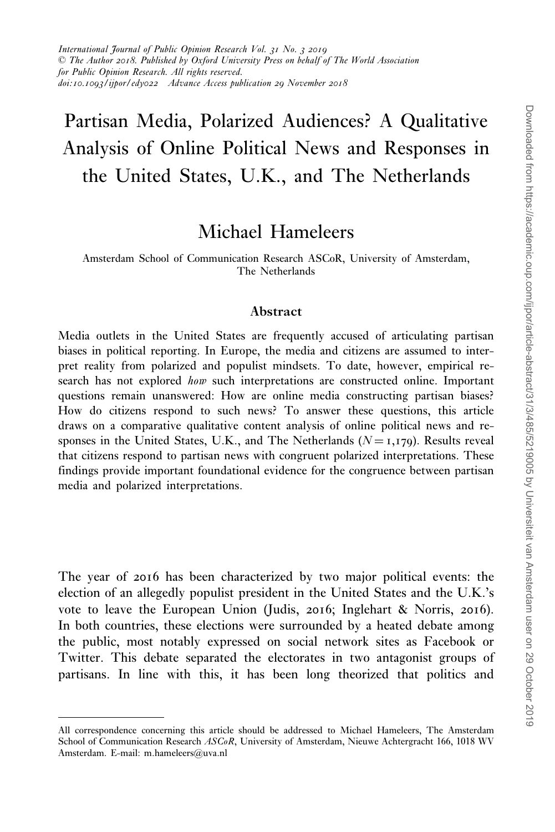# Partisan Media, Polarized Audiences? A Qualitative Analysis of Online Political News and Responses in the United States, U.K., and The Netherlands

# Michael Hameleers

Amsterdam School of Communication Research ASCoR, University of Amsterdam, The Netherlands

#### Abstract

Media outlets in the United States are frequently accused of articulating partisan biases in political reporting. In Europe, the media and citizens are assumed to interpret reality from polarized and populist mindsets. To date, however, empirical research has not explored how such interpretations are constructed online. Important questions remain unanswered: How are online media constructing partisan biases? How do citizens respond to such news? To answer these questions, this article draws on a comparative qualitative content analysis of online political news and responses in the United States, U.K., and The Netherlands ( $N = 1,179$ ). Results reveal that citizens respond to partisan news with congruent polarized interpretations. These findings provide important foundational evidence for the congruence between partisan media and polarized interpretations.

The year of 2016 has been characterized by two major political events: the election of an allegedly populist president in the United States and the U.K.'s vote to leave the European Union ([Judis,](#page-20-0) 2016; [Inglehart & Norris,](#page-20-0) 2016). In both countries, these elections were surrounded by a heated debate among the public, most notably expressed on social network sites as Facebook or Twitter. This debate separated the electorates in two antagonist groups of partisans. In line with this, it has been long theorized that politics and

All correspondence concerning this article should be addressed to Michael Hameleers, The Amsterdam School of Communication Research ASCoR, University of Amsterdam, Nieuwe Achtergracht 166, 1018 WV Amsterdam. E-mail: m.hameleers@uva.nl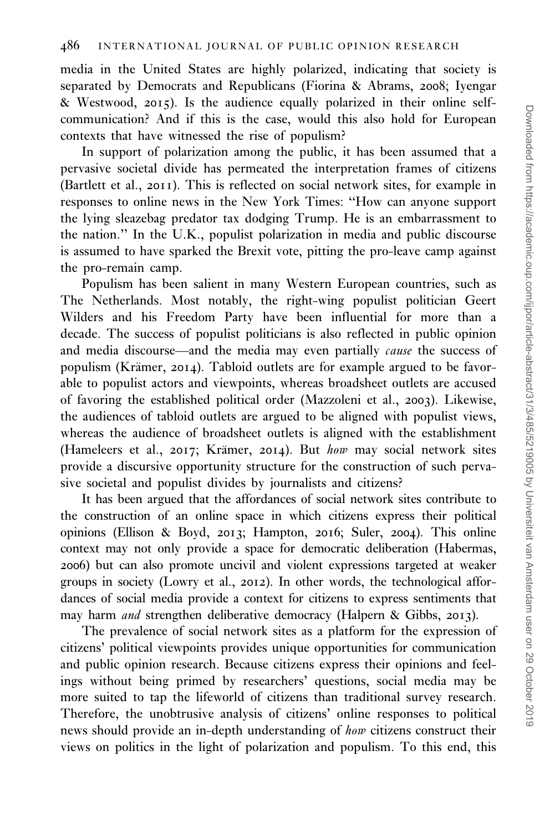media in the United States are highly polarized, indicating that society is separated by Democrats and Republicans ([Fiorina & Abrams,](#page-19-0) 2008; [Iyengar](#page-20-0) [& Westwood,](#page-20-0) 2015). Is the audience equally polarized in their online selfcommunication? And if this is the case, would this also hold for European contexts that have witnessed the rise of populism?

In support of polarization among the public, it has been assumed that a pervasive societal divide has permeated the interpretation frames of citizens ([Bartlett et al.,](#page-19-0) 2011). This is reflected on social network sites, for example in responses to online news in the New York Times: ''How can anyone support the lying sleazebag predator tax dodging Trump. He is an embarrassment to the nation.'' In the U.K., populist polarization in media and public discourse is assumed to have sparked the Brexit vote, pitting the pro-leave camp against the pro-remain camp.

Populism has been salient in many Western European countries, such as The Netherlands. Most notably, the right-wing populist politician Geert Wilders and his Freedom Party have been influential for more than a decade. The success of populist politicians is also reflected in public opinion and media discourse—and the media may even partially *cause* the success of populism (Krämer, 2014). Tabloid outlets are for example argued to be favorable to populist actors and viewpoints, whereas broadsheet outlets are accused of favoring the established political order [\(Mazzoleni et al.,](#page-20-0) 2003). Likewise, the audiences of tabloid outlets are argued to be aligned with populist views, whereas the audience of broadsheet outlets is aligned with the establishment ([Hameleers et al.,](#page-20-0) 2017; Krämer, 2014). But how may social network sites provide a discursive opportunity structure for the construction of such pervasive societal and populist divides by journalists and citizens?

It has been argued that the affordances of social network sites contribute to the construction of an online space in which citizens express their political opinions ([Ellison & Boyd,](#page-19-0) 2013; [Hampton,](#page-20-0) 2016; [Suler,](#page-21-0) 2004). This online context may not only provide a space for democratic deliberation [\(Habermas,](#page-19-0) [2006](#page-19-0)) but can also promote uncivil and violent expressions targeted at weaker groups in society (Lowry et al., 2012). In other words, the technological affordances of social media provide a context for citizens to express sentiments that may harm and strengthen deliberative democracy [\(Halpern & Gibbs,](#page-20-0) 2013).

The prevalence of social network sites as a platform for the expression of citizens' political viewpoints provides unique opportunities for communication and public opinion research. Because citizens express their opinions and feelings without being primed by researchers' questions, social media may be more suited to tap the lifeworld of citizens than traditional survey research. Therefore, the unobtrusive analysis of citizens' online responses to political news should provide an in-depth understanding of how citizens construct their views on politics in the light of polarization and populism. To this end, this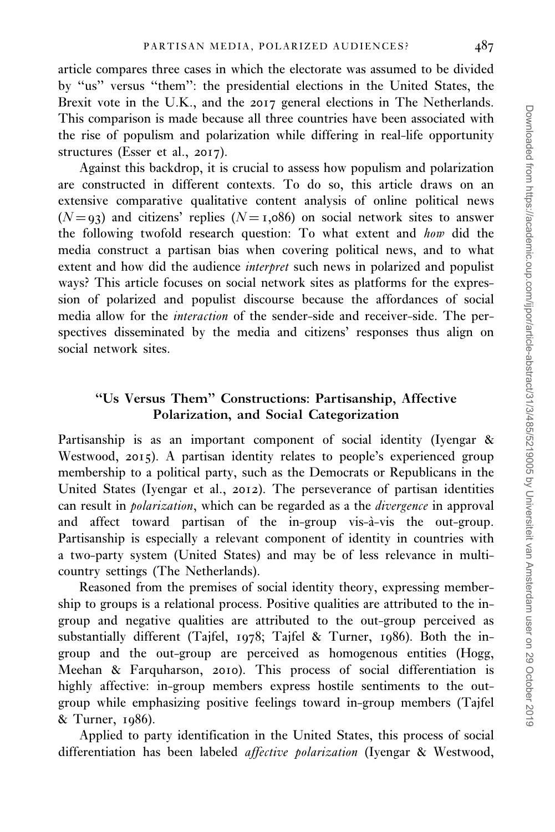article compares three cases in which the electorate was assumed to be divided by ''us'' versus ''them'': the presidential elections in the United States, the Brexit vote in the U.K., and the 2017 general elections in The Netherlands. This comparison is made because all three countries have been associated with the rise of populism and polarization while differing in real-life opportunity structures [\(Esser et al.,](#page-19-0) 2017).

Against this backdrop, it is crucial to assess how populism and polarization are constructed in different contexts. To do so, this article draws on an extensive comparative qualitative content analysis of online political news  $(N = 93)$  and citizens' replies  $(N = 1,086)$  on social network sites to answer the following twofold research question: To what extent and how did the media construct a partisan bias when covering political news, and to what extent and how did the audience interpret such news in polarized and populist ways? This article focuses on social network sites as platforms for the expression of polarized and populist discourse because the affordances of social media allow for the interaction of the sender-side and receiver-side. The perspectives disseminated by the media and citizens' responses thus align on social network sites.

# ''Us Versus Them'' Constructions: Partisanship, Affective Polarization, and Social Categorization

Partisanship is as an important component of social identity [\(Iyengar &](#page-20-0) [Westwood,](#page-20-0) 2015). A partisan identity relates to people's experienced group membership to a political party, such as the Democrats or Republicans in the United States ([Iyengar et al.,](#page-20-0) 2012). The perseverance of partisan identities can result in polarization, which can be regarded as a the divergence in approval and affect toward partisan of the in-group vis-à-vis the out-group. Partisanship is especially a relevant component of identity in countries with a two-party system (United States) and may be of less relevance in multicountry settings (The Netherlands).

Reasoned from the premises of social identity theory, expressing membership to groups is a relational process. Positive qualities are attributed to the ingroup and negative qualities are attributed to the out-group perceived as substantially different [\(Tajfel,](#page-21-0) 1978; [Tajfel & Turner,](#page-21-0) 1986). Both the ingroup and the out-group are perceived as homogenous entities [\(Hogg,](#page-20-0) [Meehan & Farquharson,](#page-20-0) 2010). This process of social differentiation is highly affective: in-group members express hostile sentiments to the outgroup while emphasizing positive feelings toward in-group members ([Tajfel](#page-21-0) [& Turner,](#page-21-0) 1986).

Applied to party identification in the United States, this process of social differentiation has been labeled affective polarization [\(Iyengar & Westwood,](#page-20-0)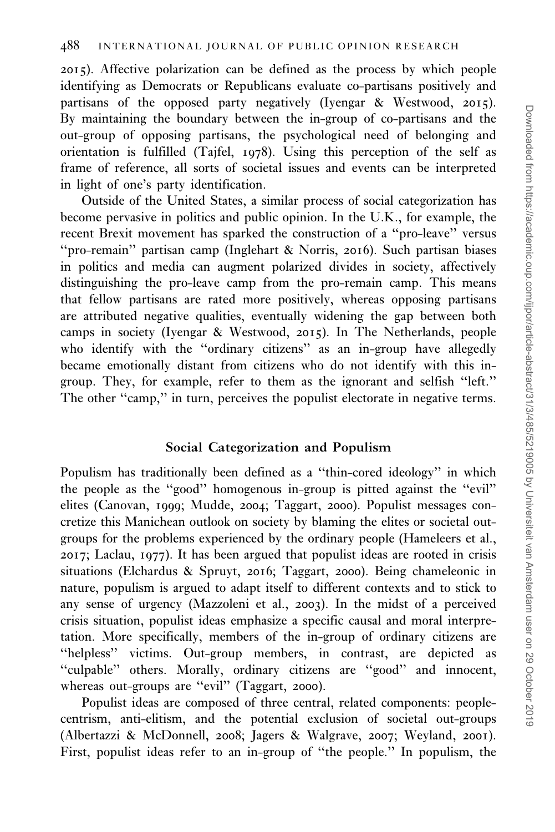[2015](#page-20-0)). Affective polarization can be defined as the process by which people identifying as Democrats or Republicans evaluate co-partisans positively and partisans of the opposed party negatively ([Iyengar & Westwood,](#page-20-0) 2015). By maintaining the boundary between the in-group of co-partisans and the out-group of opposing partisans, the psychological need of belonging and orientation is fulfilled ([Tajfel,](#page-21-0) 1978). Using this perception of the self as frame of reference, all sorts of societal issues and events can be interpreted in light of one's party identification.

Outside of the United States, a similar process of social categorization has become pervasive in politics and public opinion. In the U.K., for example, the recent Brexit movement has sparked the construction of a ''pro-leave'' versus ''pro-remain'' partisan camp ([Inglehart & Norris,](#page-20-0) 2016). Such partisan biases in politics and media can augment polarized divides in society, affectively distinguishing the pro-leave camp from the pro-remain camp. This means that fellow partisans are rated more positively, whereas opposing partisans are attributed negative qualities, eventually widening the gap between both camps in society [\(Iyengar & Westwood,](#page-20-0) 2015). In The Netherlands, people who identify with the ''ordinary citizens'' as an in-group have allegedly became emotionally distant from citizens who do not identify with this ingroup. They, for example, refer to them as the ignorant and selfish ''left.'' The other "camp," in turn, perceives the populist electorate in negative terms.

## Social Categorization and Populism

Populism has traditionally been defined as a ''thin-cored ideology'' in which the people as the ''good'' homogenous in-group is pitted against the ''evil'' elites [\(Canovan,](#page-19-0) 1999; [Mudde,](#page-20-0) 2004; [Taggart,](#page-21-0) 2000). Populist messages concretize this Manichean outlook on society by blaming the elites or societal outgroups for the problems experienced by the ordinary people ([Hameleers et al.,](#page-20-0) [2017](#page-20-0); [Laclau,](#page-20-0) 1977). It has been argued that populist ideas are rooted in crisis situations ([Elchardus & Spruyt,](#page-19-0) 2016; [Taggart,](#page-21-0) 2000). Being chameleonic in nature, populism is argued to adapt itself to different contexts and to stick to any sense of urgency ([Mazzoleni et al.,](#page-20-0) 2003). In the midst of a perceived crisis situation, populist ideas emphasize a specific causal and moral interpretation. More specifically, members of the in-group of ordinary citizens are "helpless" victims. Out-group members, in contrast, are depicted as ''culpable'' others. Morally, ordinary citizens are ''good'' and innocent, whereas out-groups are "evil" [\(Taggart,](#page-21-0) 2000).

Populist ideas are composed of three central, related components: peoplecentrism, anti-elitism, and the potential exclusion of societal out-groups ([Albertazzi & McDonnell,](#page-19-0) 2008; [Jagers & Walgrave,](#page-20-0) 2007; [Weyland,](#page-21-0) 2001). First, populist ideas refer to an in-group of ''the people.'' In populism, the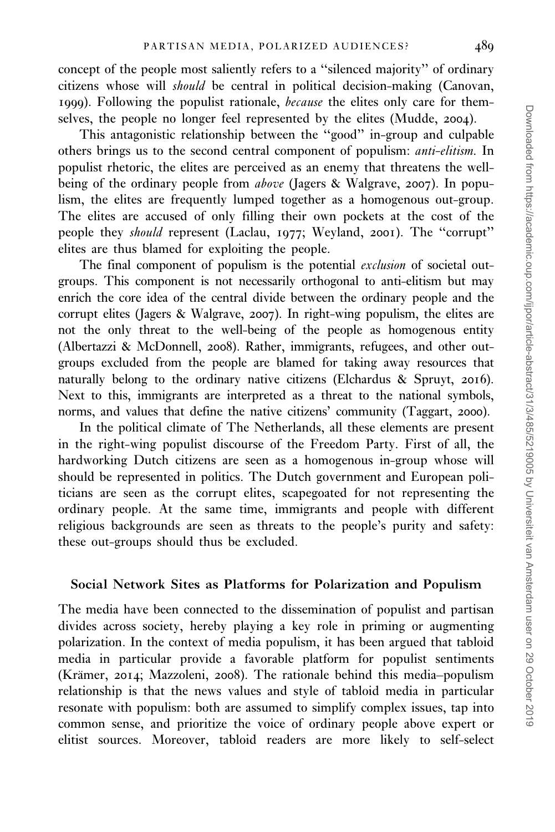concept of the people most saliently refers to a ''silenced majority'' of ordinary citizens whose will should be central in political decision-making [\(Canovan,](#page-19-0) [1999](#page-19-0)). Following the populist rationale, because the elites only care for themselves, the people no longer feel represented by the elites ([Mudde,](#page-20-0) 2004).

This antagonistic relationship between the ''good'' in-group and culpable others brings us to the second central component of populism: anti-elitism. In populist rhetoric, the elites are perceived as an enemy that threatens the wellbeing of the ordinary people from *above* ([Jagers & Walgrave,](#page-20-0) 2007). In populism, the elites are frequently lumped together as a homogenous out-group. The elites are accused of only filling their own pockets at the cost of the people they should represent [\(Laclau,](#page-20-0) 1977; [Weyland,](#page-21-0) 2001). The ''corrupt'' elites are thus blamed for exploiting the people.

The final component of populism is the potential *exclusion* of societal outgroups. This component is not necessarily orthogonal to anti-elitism but may enrich the core idea of the central divide between the ordinary people and the corrupt elites [\(Jagers & Walgrave,](#page-20-0) 2007). In right-wing populism, the elites are not the only threat to the well-being of the people as homogenous entity ([Albertazzi & McDonnell,](#page-19-0) 2008). Rather, immigrants, refugees, and other outgroups excluded from the people are blamed for taking away resources that naturally belong to the ordinary native citizens [\(Elchardus & Spruyt,](#page-19-0) 2016). Next to this, immigrants are interpreted as a threat to the national symbols, norms, and values that define the native citizens' community [\(Taggart,](#page-21-0) 2000).

In the political climate of The Netherlands, all these elements are present in the right-wing populist discourse of the Freedom Party. First of all, the hardworking Dutch citizens are seen as a homogenous in-group whose will should be represented in politics. The Dutch government and European politicians are seen as the corrupt elites, scapegoated for not representing the ordinary people. At the same time, immigrants and people with different religious backgrounds are seen as threats to the people's purity and safety: these out-groups should thus be excluded.

## Social Network Sites as Platforms for Polarization and Populism

The media have been connected to the dissemination of populist and partisan divides across society, hereby playing a key role in priming or augmenting polarization. In the context of media populism, it has been argued that tabloid media in particular provide a favorable platform for populist sentiments (Krämer, 2014; [Mazzoleni,](#page-20-0) 2008). The rationale behind this media–populism relationship is that the news values and style of tabloid media in particular resonate with populism: both are assumed to simplify complex issues, tap into common sense, and prioritize the voice of ordinary people above expert or elitist sources. Moreover, tabloid readers are more likely to self-select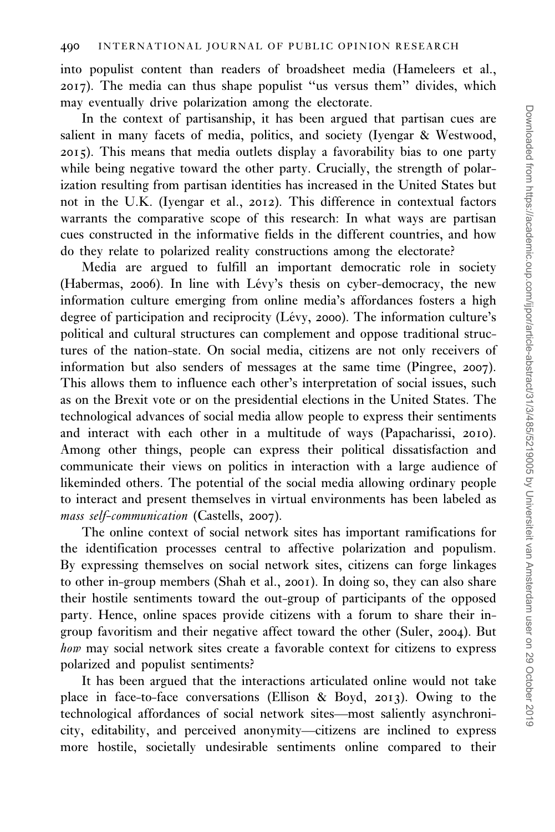into populist content than readers of broadsheet media ([Hameleers et al.,](#page-20-0) [2017](#page-20-0)). The media can thus shape populist ''us versus them'' divides, which may eventually drive polarization among the electorate.

In the context of partisanship, it has been argued that partisan cues are salient in many facets of media, politics, and society [\(Iyengar & Westwood,](#page-20-0) [2015](#page-20-0)). This means that media outlets display a favorability bias to one party while being negative toward the other party. Crucially, the strength of polarization resulting from partisan identities has increased in the United States but not in the U.K. [\(Iyengar et al.,](#page-20-0) 2012). This difference in contextual factors warrants the comparative scope of this research: In what ways are partisan cues constructed in the informative fields in the different countries, and how do they relate to polarized reality constructions among the electorate?

Media are argued to fulfill an important democratic role in society ([Habermas,](#page-19-0) 2006). In line with Lévy's thesis on cyber-democracy, the new information culture emerging from online media's affordances fosters a high degree of participation and reciprocity (Lévy, 2000). The information culture's political and cultural structures can complement and oppose traditional structures of the nation-state. On social media, citizens are not only receivers of information but also senders of messages at the same time [\(Pingree,](#page-21-0) 2007). This allows them to influence each other's interpretation of social issues, such as on the Brexit vote or on the presidential elections in the United States. The technological advances of social media allow people to express their sentiments and interact with each other in a multitude of ways [\(Papacharissi,](#page-21-0) 2010). Among other things, people can express their political dissatisfaction and communicate their views on politics in interaction with a large audience of likeminded others. The potential of the social media allowing ordinary people to interact and present themselves in virtual environments has been labeled as mass self-communication ([Castells,](#page-19-0) 2007).

The online context of social network sites has important ramifications for the identification processes central to affective polarization and populism. By expressing themselves on social network sites, citizens can forge linkages to other in-group members [\(Shah et al.,](#page-21-0) 2001). In doing so, they can also share their hostile sentiments toward the out-group of participants of the opposed party. Hence, online spaces provide citizens with a forum to share their ingroup favoritism and their negative affect toward the other [\(Suler,](#page-21-0) 2004). But how may social network sites create a favorable context for citizens to express polarized and populist sentiments?

It has been argued that the interactions articulated online would not take place in face-to-face conversations ([Ellison & Boyd,](#page-19-0) 2013). Owing to the technological affordances of social network sites—most saliently asynchronicity, editability, and perceived anonymity—citizens are inclined to express more hostile, societally undesirable sentiments online compared to their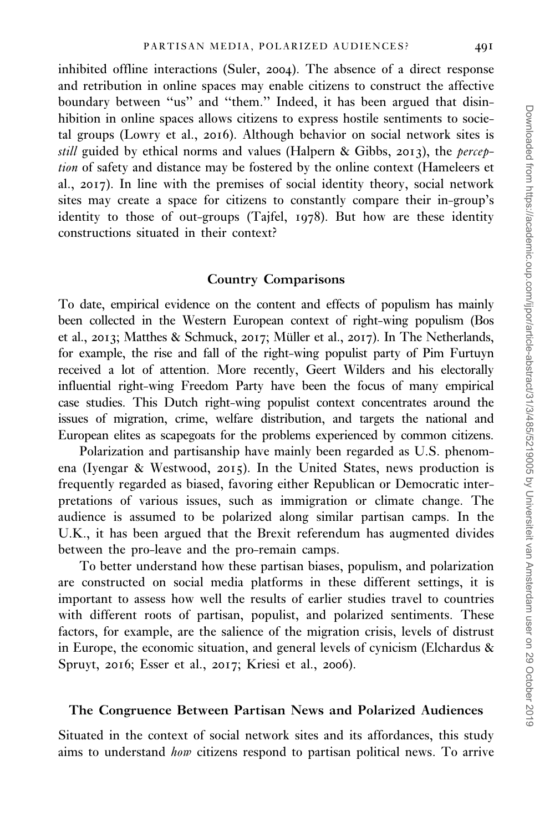inhibited offline interactions [\(Suler,](#page-21-0) 2004). The absence of a direct response and retribution in online spaces may enable citizens to construct the affective boundary between "us" and "them." Indeed, it has been argued that disinhibition in online spaces allows citizens to express hostile sentiments to societal groups ([Lowry et al.,](#page-20-0) 2016). Although behavior on social network sites is still guided by ethical norms and values ([Halpern & Gibbs,](#page-20-0) 2013), the perception of safety and distance may be fostered by the online context ([Hameleers et](#page-20-0) al., [2017](#page-20-0)). In line with the premises of social identity theory, social network sites may create a space for citizens to constantly compare their in-group's identity to those of out-groups [\(Tajfel,](#page-21-0) 1978). But how are these identity constructions situated in their context?

#### Country Comparisons

To date, empirical evidence on the content and effects of populism has mainly been collected in the Western European context of right-wing populism [\(Bos](#page-19-0) [et al.,](#page-19-0) 2013; [Matthes & Schmuck,](#page-20-0) 2017; Müller et al., 2017). In The Netherlands, for example, the rise and fall of the right-wing populist party of Pim Furtuyn received a lot of attention. More recently, Geert Wilders and his electorally influential right-wing Freedom Party have been the focus of many empirical case studies. This Dutch right-wing populist context concentrates around the issues of migration, crime, welfare distribution, and targets the national and European elites as scapegoats for the problems experienced by common citizens.

Polarization and partisanship have mainly been regarded as U.S. phenomena [\(Iyengar & Westwood,](#page-20-0) 2015). In the United States, news production is frequently regarded as biased, favoring either Republican or Democratic interpretations of various issues, such as immigration or climate change. The audience is assumed to be polarized along similar partisan camps. In the U.K., it has been argued that the Brexit referendum has augmented divides between the pro-leave and the pro-remain camps.

To better understand how these partisan biases, populism, and polarization are constructed on social media platforms in these different settings, it is important to assess how well the results of earlier studies travel to countries with different roots of partisan, populist, and polarized sentiments. These factors, for example, are the salience of the migration crisis, levels of distrust in Europe, the economic situation, and general levels of cynicism ([Elchardus &](#page-19-0) [Spruyt,](#page-19-0) 2016; [Esser et al.,](#page-19-0) 2017; [Kriesi et al.,](#page-20-0) 2006).

#### The Congruence Between Partisan News and Polarized Audiences

Situated in the context of social network sites and its affordances, this study aims to understand how citizens respond to partisan political news. To arrive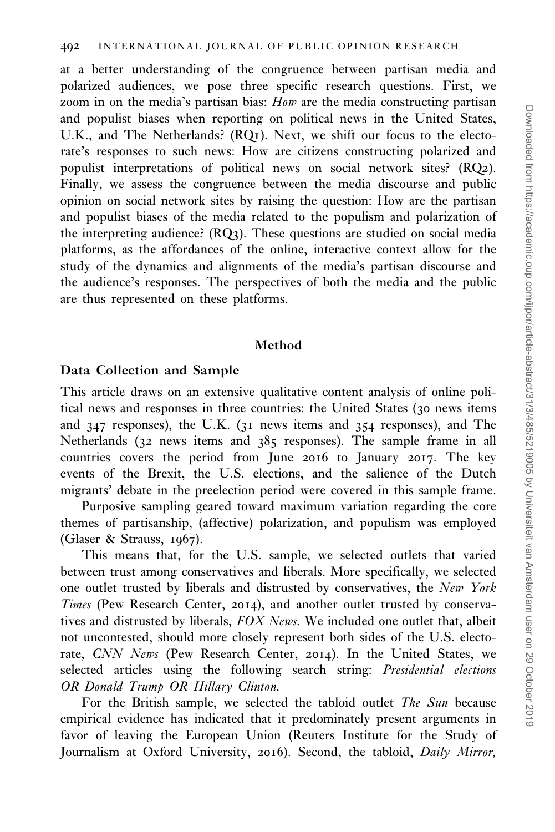at a better understanding of the congruence between partisan media and polarized audiences, we pose three specific research questions. First, we zoom in on the media's partisan bias: How are the media constructing partisan and populist biases when reporting on political news in the United States, U.K., and The Netherlands? (RQ1). Next, we shift our focus to the electorate's responses to such news: How are citizens constructing polarized and populist interpretations of political news on social network sites? (RQ2). Finally, we assess the congruence between the media discourse and public opinion on social network sites by raising the question: How are the partisan and populist biases of the media related to the populism and polarization of the interpreting audience? (RQ3). These questions are studied on social media platforms, as the affordances of the online, interactive context allow for the study of the dynamics and alignments of the media's partisan discourse and the audience's responses. The perspectives of both the media and the public are thus represented on these platforms.

## Method

#### Data Collection and Sample

This article draws on an extensive qualitative content analysis of online political news and responses in three countries: the United States (30 news items and 347 responses), the U.K. (31 news items and 354 responses), and The Netherlands (32 news items and 385 responses). The sample frame in all countries covers the period from June 2016 to January 2017. The key events of the Brexit, the U.S. elections, and the salience of the Dutch migrants' debate in the preelection period were covered in this sample frame.

Purposive sampling geared toward maximum variation regarding the core themes of partisanship, (affective) polarization, and populism was employed ([Glaser & Strauss,](#page-19-0) 1967).

This means that, for the U.S. sample, we selected outlets that varied between trust among conservatives and liberals. More specifically, we selected one outlet trusted by liberals and distrusted by conservatives, the New York Times ([Pew Research Center,](#page-21-0) 2014), and another outlet trusted by conservatives and distrusted by liberals, FOX News. We included one outlet that, albeit not uncontested, should more closely represent both sides of the U.S. electorate, CNN News ([Pew Research Center,](#page-21-0) 2014). In the United States, we selected articles using the following search string: *Presidential elections* OR Donald Trump OR Hillary Clinton.

For the British sample, we selected the tabloid outlet The Sun because empirical evidence has indicated that it predominately present arguments in favor of leaving the European Union ([Reuters Institute for the Study of](#page-21-0) [Journalism at Oxford University,](#page-21-0) 2016). Second, the tabloid, Daily Mirror,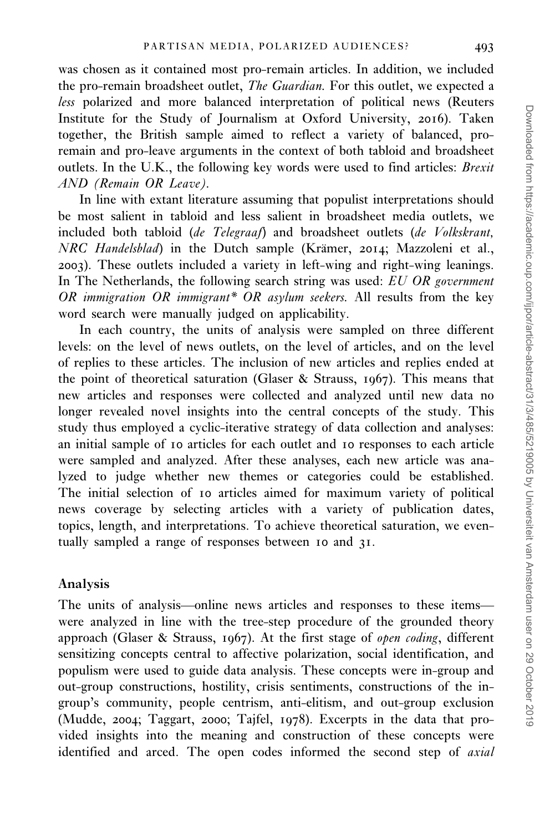was chosen as it contained most pro-remain articles. In addition, we included the pro-remain broadsheet outlet, The Guardian. For this outlet, we expected a less polarized and more balanced interpretation of political news ([Reuters](#page-21-0) [Institute for the Study of Journalism at Oxford University,](#page-21-0) 2016). Taken together, the British sample aimed to reflect a variety of balanced, proremain and pro-leave arguments in the context of both tabloid and broadsheet outlets. In the U.K., the following key words were used to find articles: Brexit AND (Remain OR Leave).

In line with extant literature assuming that populist interpretations should be most salient in tabloid and less salient in broadsheet media outlets, we included both tabloid (de Telegraaf) and broadsheet outlets (de Volkskrant, NRC Handelsblad) in the Dutch sample (Krämer, 2014; [Mazzoleni et al.,](#page-20-0) [2003](#page-20-0)). These outlets included a variety in left-wing and right-wing leanings. In The Netherlands, the following search string was used: EU OR government OR immigration OR immigrant\* OR asylum seekers. All results from the key word search were manually judged on applicability.

In each country, the units of analysis were sampled on three different levels: on the level of news outlets, on the level of articles, and on the level of replies to these articles. The inclusion of new articles and replies ended at the point of theoretical saturation ([Glaser & Strauss,](#page-19-0) 1967). This means that new articles and responses were collected and analyzed until new data no longer revealed novel insights into the central concepts of the study. This study thus employed a cyclic-iterative strategy of data collection and analyses: an initial sample of 10 articles for each outlet and 10 responses to each article were sampled and analyzed. After these analyses, each new article was analyzed to judge whether new themes or categories could be established. The initial selection of 10 articles aimed for maximum variety of political news coverage by selecting articles with a variety of publication dates, topics, length, and interpretations. To achieve theoretical saturation, we eventually sampled a range of responses between 10 and 31.

# Analysis

The units of analysis—online news articles and responses to these items were analyzed in line with the tree-step procedure of the grounded theory approach ([Glaser & Strauss,](#page-19-0) 1967). At the first stage of open coding, different sensitizing concepts central to affective polarization, social identification, and populism were used to guide data analysis. These concepts were in-group and out-group constructions, hostility, crisis sentiments, constructions of the ingroup's community, people centrism, anti-elitism, and out-group exclusion ([Mudde,](#page-20-0) 2004; [Taggart,](#page-21-0) 2000; [Tajfel,](#page-21-0) 1978). Excerpts in the data that provided insights into the meaning and construction of these concepts were identified and arced. The open codes informed the second step of *axial*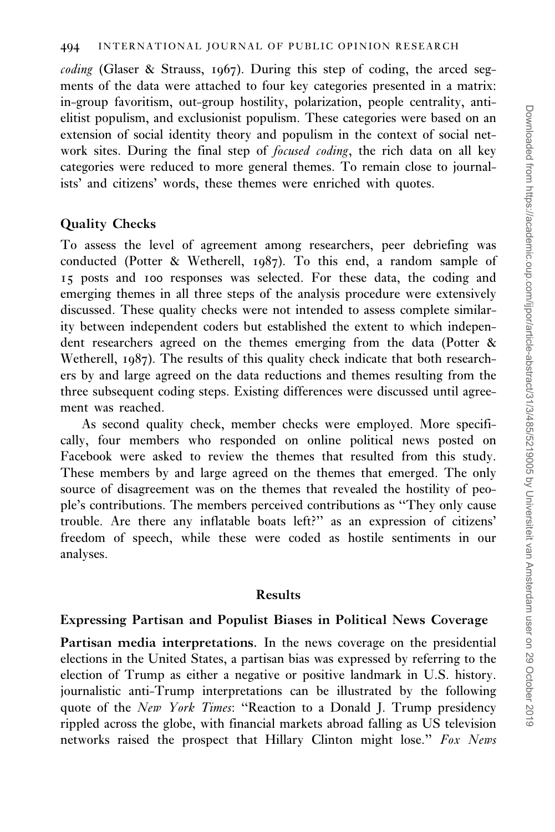*coding* ([Glaser & Strauss,](#page-19-0) 1967). During this step of coding, the arced segments of the data were attached to four key categories presented in a matrix: in-group favoritism, out-group hostility, polarization, people centrality, antielitist populism, and exclusionist populism. These categories were based on an extension of social identity theory and populism in the context of social network sites. During the final step of *focused coding*, the rich data on all key categories were reduced to more general themes. To remain close to journalists' and citizens' words, these themes were enriched with quotes.

# Quality Checks

To assess the level of agreement among researchers, peer debriefing was conducted ([Potter & Wetherell,](#page-21-0) 1987). To this end, a random sample of 15 posts and 100 responses was selected. For these data, the coding and emerging themes in all three steps of the analysis procedure were extensively discussed. These quality checks were not intended to assess complete similarity between independent coders but established the extent to which independent researchers agreed on the themes emerging from the data ([Potter &](#page-21-0) [Wetherell,](#page-21-0) 1987). The results of this quality check indicate that both researchers by and large agreed on the data reductions and themes resulting from the three subsequent coding steps. Existing differences were discussed until agreement was reached.

As second quality check, member checks were employed. More specifically, four members who responded on online political news posted on Facebook were asked to review the themes that resulted from this study. These members by and large agreed on the themes that emerged. The only source of disagreement was on the themes that revealed the hostility of people's contributions. The members perceived contributions as ''They only cause trouble. Are there any inflatable boats left?'' as an expression of citizens' freedom of speech, while these were coded as hostile sentiments in our analyses.

# Results

# Expressing Partisan and Populist Biases in Political News Coverage

Partisan media interpretations. In the news coverage on the presidential elections in the United States, a partisan bias was expressed by referring to the election of Trump as either a negative or positive landmark in U.S. history. journalistic anti-Trump interpretations can be illustrated by the following quote of the New York Times: "Reaction to a Donald J. Trump presidency rippled across the globe, with financial markets abroad falling as US television networks raised the prospect that Hillary Clinton might lose.'' Fox News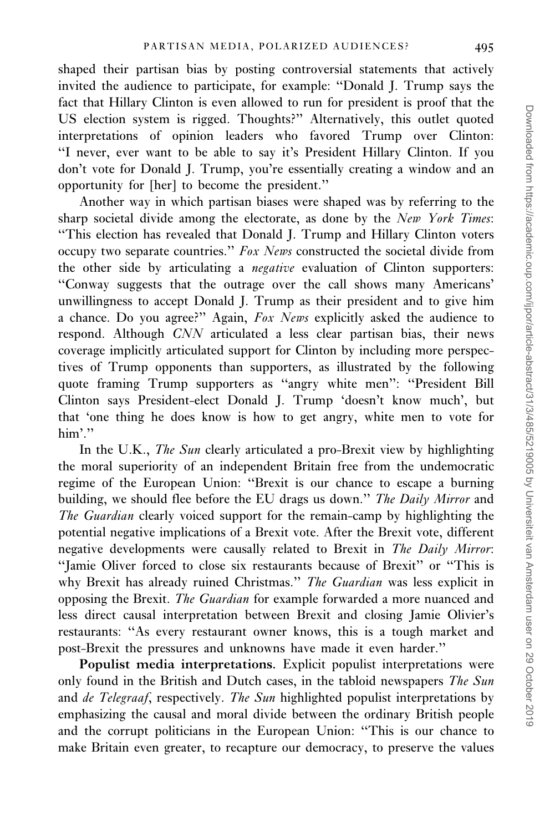shaped their partisan bias by posting controversial statements that actively invited the audience to participate, for example: ''Donald J. Trump says the fact that Hillary Clinton is even allowed to run for president is proof that the US election system is rigged. Thoughts?'' Alternatively, this outlet quoted interpretations of opinion leaders who favored Trump over Clinton: ''I never, ever want to be able to say it's President Hillary Clinton. If you don't vote for Donald J. Trump, you're essentially creating a window and an opportunity for [her] to become the president.''

Another way in which partisan biases were shaped was by referring to the sharp societal divide among the electorate, as done by the New York Times: ''This election has revealed that Donald J. Trump and Hillary Clinton voters occupy two separate countries.'' Fox News constructed the societal divide from the other side by articulating a negative evaluation of Clinton supporters: ''Conway suggests that the outrage over the call shows many Americans' unwillingness to accept Donald J. Trump as their president and to give him a chance. Do you agree?'' Again, Fox News explicitly asked the audience to respond. Although CNN articulated a less clear partisan bias, their news coverage implicitly articulated support for Clinton by including more perspectives of Trump opponents than supporters, as illustrated by the following quote framing Trump supporters as ''angry white men'': ''President Bill Clinton says President-elect Donald J. Trump 'doesn't know much', but that 'one thing he does know is how to get angry, white men to vote for him'.''

In the U.K., The Sun clearly articulated a pro-Brexit view by highlighting the moral superiority of an independent Britain free from the undemocratic regime of the European Union: ''Brexit is our chance to escape a burning building, we should flee before the EU drags us down." The Daily Mirror and The Guardian clearly voiced support for the remain-camp by highlighting the potential negative implications of a Brexit vote. After the Brexit vote, different negative developments were causally related to Brexit in The Daily Mirror: ''Jamie Oliver forced to close six restaurants because of Brexit'' or ''This is why Brexit has already ruined Christmas." The Guardian was less explicit in opposing the Brexit. The Guardian for example forwarded a more nuanced and less direct causal interpretation between Brexit and closing Jamie Olivier's restaurants: ''As every restaurant owner knows, this is a tough market and post-Brexit the pressures and unknowns have made it even harder.''

Populist media interpretations. Explicit populist interpretations were only found in the British and Dutch cases, in the tabloid newspapers The Sun and de Telegraaf, respectively. The Sun highlighted populist interpretations by emphasizing the causal and moral divide between the ordinary British people and the corrupt politicians in the European Union: ''This is our chance to make Britain even greater, to recapture our democracy, to preserve the values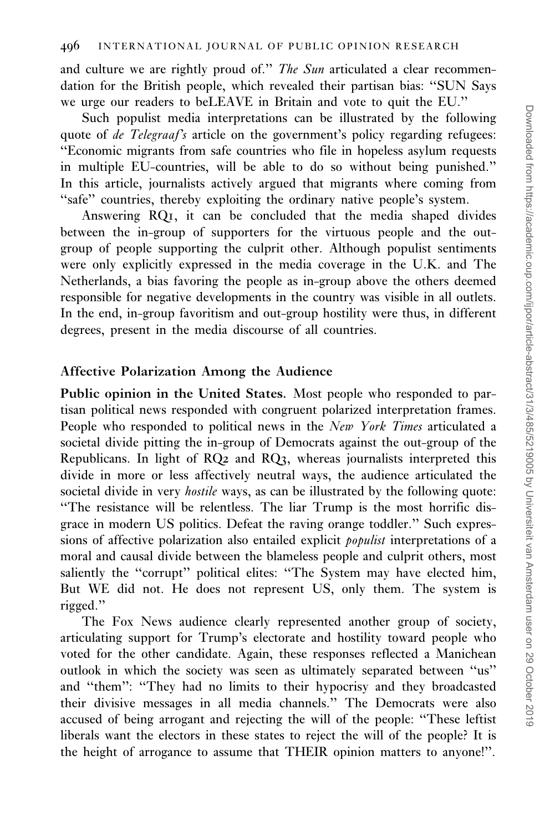and culture we are rightly proud of." The Sun articulated a clear recommendation for the British people, which revealed their partisan bias: ''SUN Says we urge our readers to beLEAVE in Britain and vote to quit the EU.''

Such populist media interpretations can be illustrated by the following quote of *de Telegraaf's* article on the government's policy regarding refugees: ''Economic migrants from safe countries who file in hopeless asylum requests in multiple EU-countries, will be able to do so without being punished.'' In this article, journalists actively argued that migrants where coming from "safe" countries, thereby exploiting the ordinary native people's system.

Answering RQ1, it can be concluded that the media shaped divides between the in-group of supporters for the virtuous people and the outgroup of people supporting the culprit other. Although populist sentiments were only explicitly expressed in the media coverage in the U.K. and The Netherlands, a bias favoring the people as in-group above the others deemed responsible for negative developments in the country was visible in all outlets. In the end, in-group favoritism and out-group hostility were thus, in different degrees, present in the media discourse of all countries.

# Affective Polarization Among the Audience

Public opinion in the United States. Most people who responded to partisan political news responded with congruent polarized interpretation frames. People who responded to political news in the New York Times articulated a societal divide pitting the in-group of Democrats against the out-group of the Republicans. In light of  $RQ_2$  and  $RQ_3$ , whereas journalists interpreted this divide in more or less affectively neutral ways, the audience articulated the societal divide in very *hostile* ways, as can be illustrated by the following quote: ''The resistance will be relentless. The liar Trump is the most horrific disgrace in modern US politics. Defeat the raving orange toddler.'' Such expressions of affective polarization also entailed explicit populist interpretations of a moral and causal divide between the blameless people and culprit others, most saliently the "corrupt" political elites: "The System may have elected him, But WE did not. He does not represent US, only them. The system is rigged.''

The Fox News audience clearly represented another group of society, articulating support for Trump's electorate and hostility toward people who voted for the other candidate. Again, these responses reflected a Manichean outlook in which the society was seen as ultimately separated between ''us'' and "them": "They had no limits to their hypocrisy and they broadcasted their divisive messages in all media channels.'' The Democrats were also accused of being arrogant and rejecting the will of the people: ''These leftist liberals want the electors in these states to reject the will of the people? It is the height of arrogance to assume that THEIR opinion matters to anyone!''.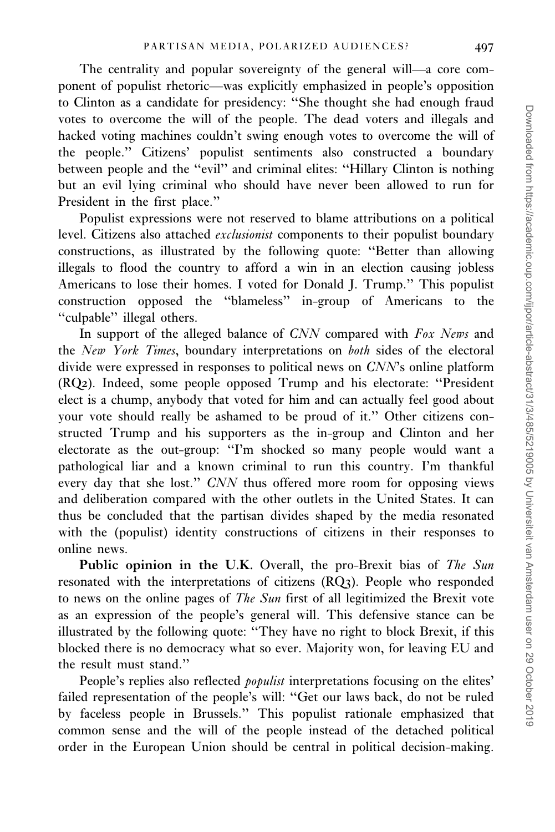The centrality and popular sovereignty of the general will—a core component of populist rhetoric—was explicitly emphasized in people's opposition to Clinton as a candidate for presidency: ''She thought she had enough fraud votes to overcome the will of the people. The dead voters and illegals and hacked voting machines couldn't swing enough votes to overcome the will of the people.'' Citizens' populist sentiments also constructed a boundary between people and the ''evil'' and criminal elites: ''Hillary Clinton is nothing but an evil lying criminal who should have never been allowed to run for President in the first place."

Populist expressions were not reserved to blame attributions on a political level. Citizens also attached exclusionist components to their populist boundary constructions, as illustrated by the following quote: ''Better than allowing illegals to flood the country to afford a win in an election causing jobless Americans to lose their homes. I voted for Donald J. Trump.'' This populist construction opposed the ''blameless'' in-group of Americans to the "culpable" illegal others.

In support of the alleged balance of CNN compared with Fox News and the New York Times, boundary interpretations on both sides of the electoral divide were expressed in responses to political news on CNN's online platform (RQ2). Indeed, some people opposed Trump and his electorate: ''President elect is a chump, anybody that voted for him and can actually feel good about your vote should really be ashamed to be proud of it.'' Other citizens constructed Trump and his supporters as the in-group and Clinton and her electorate as the out-group: ''I'm shocked so many people would want a pathological liar and a known criminal to run this country. I'm thankful every day that she lost.'' CNN thus offered more room for opposing views and deliberation compared with the other outlets in the United States. It can thus be concluded that the partisan divides shaped by the media resonated with the (populist) identity constructions of citizens in their responses to online news.

Public opinion in the U.K. Overall, the pro-Brexit bias of The Sun resonated with the interpretations of citizens (RQ3). People who responded to news on the online pages of The Sun first of all legitimized the Brexit vote as an expression of the people's general will. This defensive stance can be illustrated by the following quote: ''They have no right to block Brexit, if this blocked there is no democracy what so ever. Majority won, for leaving EU and the result must stand.''

People's replies also reflected *populist* interpretations focusing on the elites' failed representation of the people's will: ''Get our laws back, do not be ruled by faceless people in Brussels.'' This populist rationale emphasized that common sense and the will of the people instead of the detached political order in the European Union should be central in political decision-making.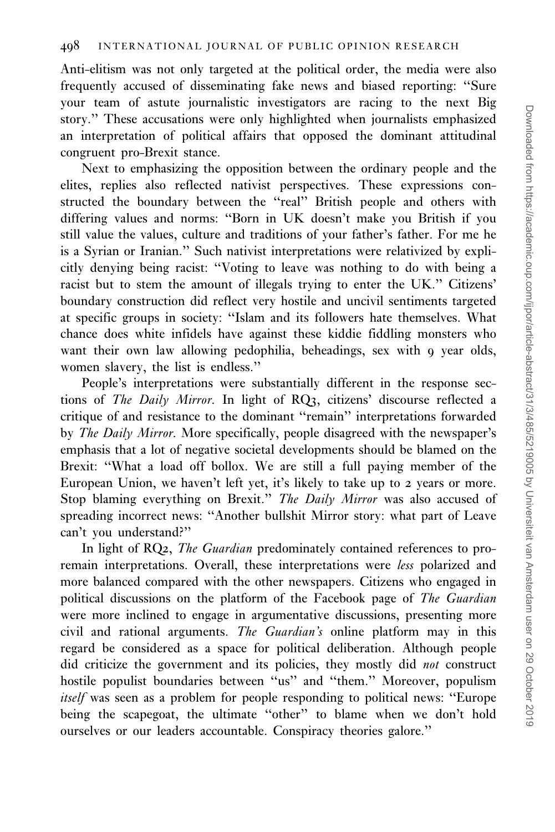Anti-elitism was not only targeted at the political order, the media were also frequently accused of disseminating fake news and biased reporting: ''Sure your team of astute journalistic investigators are racing to the next Big story.'' These accusations were only highlighted when journalists emphasized an interpretation of political affairs that opposed the dominant attitudinal congruent pro-Brexit stance.

Next to emphasizing the opposition between the ordinary people and the elites, replies also reflected nativist perspectives. These expressions constructed the boundary between the "real" British people and others with differing values and norms: ''Born in UK doesn't make you British if you still value the values, culture and traditions of your father's father. For me he is a Syrian or Iranian.'' Such nativist interpretations were relativized by explicitly denying being racist: ''Voting to leave was nothing to do with being a racist but to stem the amount of illegals trying to enter the UK.'' Citizens' boundary construction did reflect very hostile and uncivil sentiments targeted at specific groups in society: ''Islam and its followers hate themselves. What chance does white infidels have against these kiddie fiddling monsters who want their own law allowing pedophilia, beheadings, sex with 9 year olds, women slavery, the list is endless.''

People's interpretations were substantially different in the response sections of The Daily Mirror. In light of RQ3, citizens' discourse reflected a critique of and resistance to the dominant ''remain'' interpretations forwarded by The Daily Mirror. More specifically, people disagreed with the newspaper's emphasis that a lot of negative societal developments should be blamed on the Brexit: "What a load off bollox. We are still a full paying member of the European Union, we haven't left yet, it's likely to take up to 2 years or more. Stop blaming everything on Brexit." The Daily Mirror was also accused of spreading incorrect news: ''Another bullshit Mirror story: what part of Leave can't you understand?''

In light of RQ2, The Guardian predominately contained references to proremain interpretations. Overall, these interpretations were less polarized and more balanced compared with the other newspapers. Citizens who engaged in political discussions on the platform of the Facebook page of The Guardian were more inclined to engage in argumentative discussions, presenting more civil and rational arguments. The Guardian's online platform may in this regard be considered as a space for political deliberation. Although people did criticize the government and its policies, they mostly did not construct hostile populist boundaries between ''us'' and ''them.'' Moreover, populism itself was seen as a problem for people responding to political news: ''Europe being the scapegoat, the ultimate "other" to blame when we don't hold ourselves or our leaders accountable. Conspiracy theories galore.''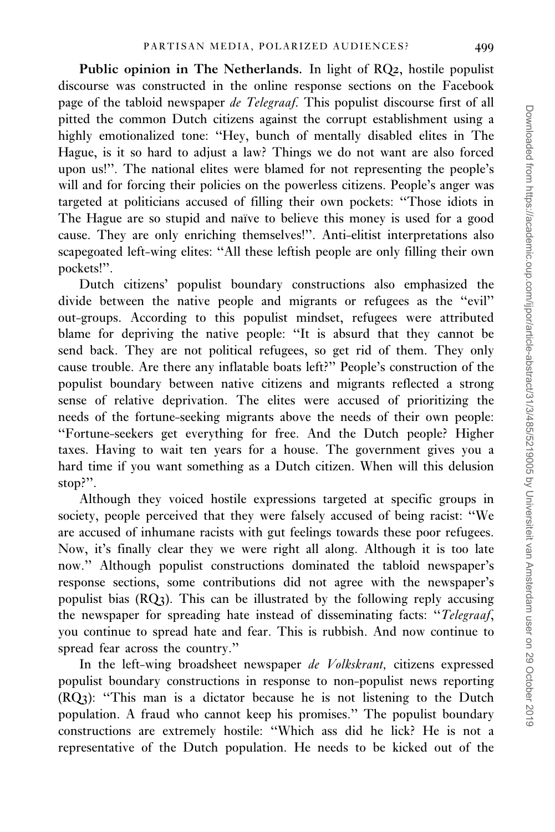Public opinion in The Netherlands. In light of RQ2, hostile populist discourse was constructed in the online response sections on the Facebook page of the tabloid newspaper de Telegraaf. This populist discourse first of all pitted the common Dutch citizens against the corrupt establishment using a highly emotionalized tone: ''Hey, bunch of mentally disabled elites in The Hague, is it so hard to adjust a law? Things we do not want are also forced upon us!''. The national elites were blamed for not representing the people's will and for forcing their policies on the powerless citizens. People's anger was targeted at politicians accused of filling their own pockets: ''Those idiots in The Hague are so stupid and naïve to believe this money is used for a good cause. They are only enriching themselves!''. Anti-elitist interpretations also scapegoated left-wing elites: ''All these leftish people are only filling their own pockets!''.

Dutch citizens' populist boundary constructions also emphasized the divide between the native people and migrants or refugees as the ''evil'' out-groups. According to this populist mindset, refugees were attributed blame for depriving the native people: ''It is absurd that they cannot be send back. They are not political refugees, so get rid of them. They only cause trouble. Are there any inflatable boats left?'' People's construction of the populist boundary between native citizens and migrants reflected a strong sense of relative deprivation. The elites were accused of prioritizing the needs of the fortune-seeking migrants above the needs of their own people: ''Fortune-seekers get everything for free. And the Dutch people? Higher taxes. Having to wait ten years for a house. The government gives you a hard time if you want something as a Dutch citizen. When will this delusion stop?".

Although they voiced hostile expressions targeted at specific groups in society, people perceived that they were falsely accused of being racist: ''We are accused of inhumane racists with gut feelings towards these poor refugees. Now, it's finally clear they we were right all along. Although it is too late now.'' Although populist constructions dominated the tabloid newspaper's response sections, some contributions did not agree with the newspaper's populist bias (RQ3). This can be illustrated by the following reply accusing the newspaper for spreading hate instead of disseminating facts: ''Telegraaf, you continue to spread hate and fear. This is rubbish. And now continue to spread fear across the country.''

In the left-wing broadsheet newspaper de Volkskrant, citizens expressed populist boundary constructions in response to non-populist news reporting (RQ3): ''This man is a dictator because he is not listening to the Dutch population. A fraud who cannot keep his promises.'' The populist boundary constructions are extremely hostile: ''Which ass did he lick? He is not a representative of the Dutch population. He needs to be kicked out of the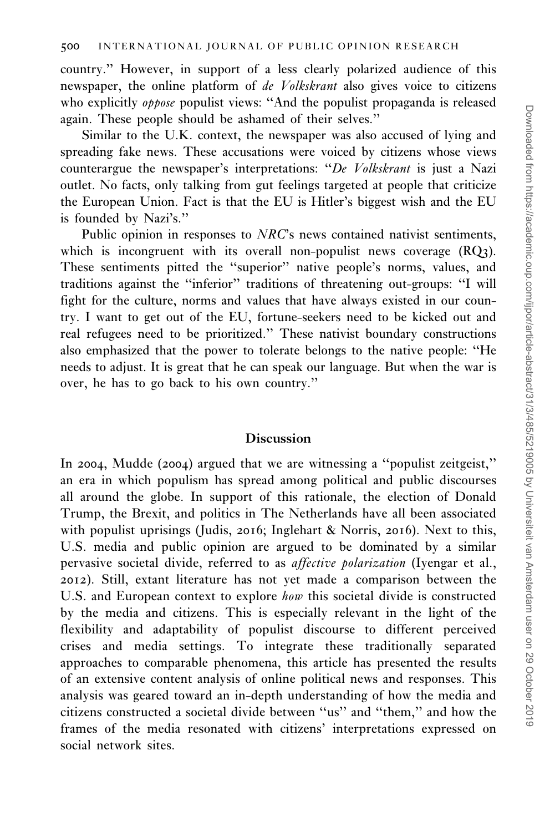country.'' However, in support of a less clearly polarized audience of this newspaper, the online platform of de Volkskrant also gives voice to citizens who explicitly *oppose* populist views: "And the populist propaganda is released again. These people should be ashamed of their selves.''

Similar to the U.K. context, the newspaper was also accused of lying and spreading fake news. These accusations were voiced by citizens whose views counterargue the newspaper's interpretations: ''De Volkskrant is just a Nazi outlet. No facts, only talking from gut feelings targeted at people that criticize the European Union. Fact is that the EU is Hitler's biggest wish and the EU is founded by Nazi's.''

Public opinion in responses to NRC's news contained nativist sentiments, which is incongruent with its overall non-populist news coverage  $(RQ_3)$ . These sentiments pitted the ''superior'' native people's norms, values, and traditions against the ''inferior'' traditions of threatening out-groups: ''I will fight for the culture, norms and values that have always existed in our country. I want to get out of the EU, fortune-seekers need to be kicked out and real refugees need to be prioritized.'' These nativist boundary constructions also emphasized that the power to tolerate belongs to the native people: ''He needs to adjust. It is great that he can speak our language. But when the war is over, he has to go back to his own country.''

#### Discussion

In 2004, [Mudde \(](#page-20-0)2004) argued that we are witnessing a ''populist zeitgeist,'' an era in which populism has spread among political and public discourses all around the globe. In support of this rationale, the election of Donald Trump, the Brexit, and politics in The Netherlands have all been associated with populist uprisings [\(Judis,](#page-20-0) 2016; [Inglehart & Norris,](#page-20-0) 2016). Next to this, U.S. media and public opinion are argued to be dominated by a similar pervasive societal divide, referred to as affective polarization ([Iyengar et al.,](#page-20-0) [2012](#page-20-0)). Still, extant literature has not yet made a comparison between the U.S. and European context to explore how this societal divide is constructed by the media and citizens. This is especially relevant in the light of the flexibility and adaptability of populist discourse to different perceived crises and media settings. To integrate these traditionally separated approaches to comparable phenomena, this article has presented the results of an extensive content analysis of online political news and responses. This analysis was geared toward an in-depth understanding of how the media and citizens constructed a societal divide between ''us'' and ''them,'' and how the frames of the media resonated with citizens' interpretations expressed on social network sites.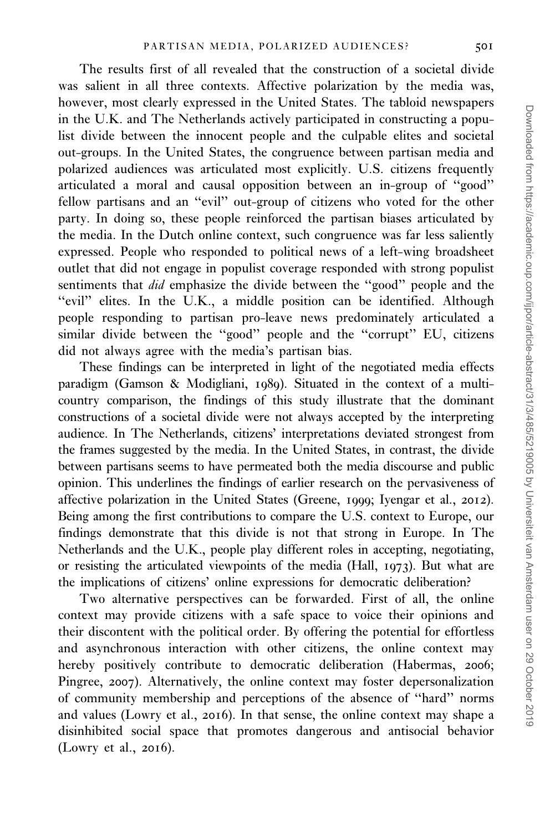The results first of all revealed that the construction of a societal divide was salient in all three contexts. Affective polarization by the media was, however, most clearly expressed in the United States. The tabloid newspapers in the U.K. and The Netherlands actively participated in constructing a populist divide between the innocent people and the culpable elites and societal out-groups. In the United States, the congruence between partisan media and polarized audiences was articulated most explicitly. U.S. citizens frequently articulated a moral and causal opposition between an in-group of ''good'' fellow partisans and an ''evil'' out-group of citizens who voted for the other party. In doing so, these people reinforced the partisan biases articulated by the media. In the Dutch online context, such congruence was far less saliently expressed. People who responded to political news of a left-wing broadsheet outlet that did not engage in populist coverage responded with strong populist sentiments that *did* emphasize the divide between the "good" people and the "evil" elites. In the U.K., a middle position can be identified. Although people responding to partisan pro-leave news predominately articulated a similar divide between the ''good'' people and the ''corrupt'' EU, citizens did not always agree with the media's partisan bias.

These findings can be interpreted in light of the negotiated media effects paradigm ([Gamson & Modigliani,](#page-19-0) 1989). Situated in the context of a multicountry comparison, the findings of this study illustrate that the dominant constructions of a societal divide were not always accepted by the interpreting audience. In The Netherlands, citizens' interpretations deviated strongest from the frames suggested by the media. In the United States, in contrast, the divide between partisans seems to have permeated both the media discourse and public opinion. This underlines the findings of earlier research on the pervasiveness of affective polarization in the United States [\(Greene,](#page-19-0) 1999; [Iyengar et al.,](#page-20-0) 2012). Being among the first contributions to compare the U.S. context to Europe, our findings demonstrate that this divide is not that strong in Europe. In The Netherlands and the U.K., people play different roles in accepting, negotiating, or resisting the articulated viewpoints of the media [\(Hall,](#page-19-0) 1973). But what are the implications of citizens' online expressions for democratic deliberation?

Two alternative perspectives can be forwarded. First of all, the online context may provide citizens with a safe space to voice their opinions and their discontent with the political order. By offering the potential for effortless and asynchronous interaction with other citizens, the online context may hereby positively contribute to democratic deliberation ([Habermas,](#page-19-0) 2006; [Pingree,](#page-21-0) 2007). Alternatively, the online context may foster depersonalization of community membership and perceptions of the absence of ''hard'' norms and values ([Lowry et al.,](#page-20-0) 2016). In that sense, the online context may shape a disinhibited social space that promotes dangerous and antisocial behavior ([Lowry et al.,](#page-20-0) 2016).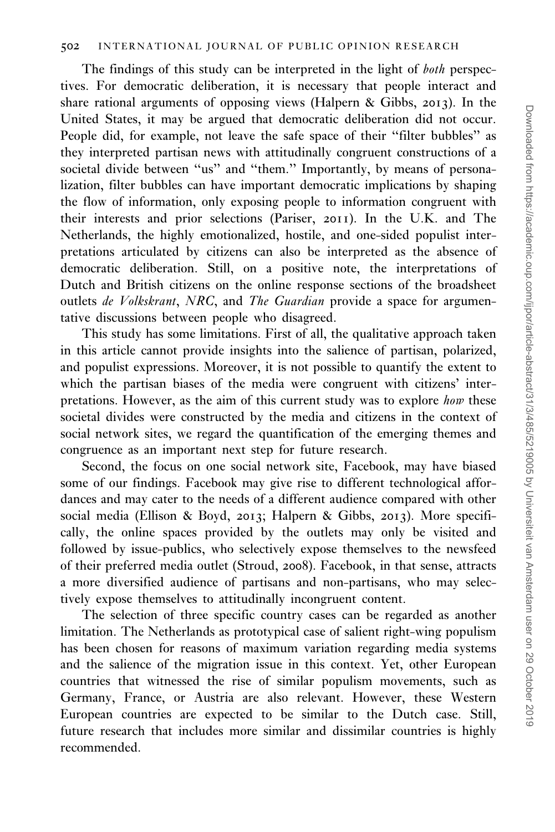The findings of this study can be interpreted in the light of *both* perspectives. For democratic deliberation, it is necessary that people interact and share rational arguments of opposing views [\(Halpern & Gibbs,](#page-20-0) 2013). In the United States, it may be argued that democratic deliberation did not occur. People did, for example, not leave the safe space of their "filter bubbles" as they interpreted partisan news with attitudinally congruent constructions of a societal divide between "us" and "them." Importantly, by means of personalization, filter bubbles can have important democratic implications by shaping the flow of information, only exposing people to information congruent with their interests and prior selections ([Pariser,](#page-21-0) 2011). In the U.K. and The Netherlands, the highly emotionalized, hostile, and one-sided populist interpretations articulated by citizens can also be interpreted as the absence of democratic deliberation. Still, on a positive note, the interpretations of Dutch and British citizens on the online response sections of the broadsheet outlets de Volkskrant, NRC, and The Guardian provide a space for argumentative discussions between people who disagreed.

This study has some limitations. First of all, the qualitative approach taken in this article cannot provide insights into the salience of partisan, polarized, and populist expressions. Moreover, it is not possible to quantify the extent to which the partisan biases of the media were congruent with citizens' interpretations. However, as the aim of this current study was to explore how these societal divides were constructed by the media and citizens in the context of social network sites, we regard the quantification of the emerging themes and congruence as an important next step for future research.

Second, the focus on one social network site, Facebook, may have biased some of our findings. Facebook may give rise to different technological affordances and may cater to the needs of a different audience compared with other social media [\(Ellison & Boyd,](#page-19-0) 2013; [Halpern & Gibbs,](#page-20-0) 2013). More specifically, the online spaces provided by the outlets may only be visited and followed by issue-publics, who selectively expose themselves to the newsfeed of their preferred media outlet [\(Stroud,](#page-21-0) 2008). Facebook, in that sense, attracts a more diversified audience of partisans and non-partisans, who may selectively expose themselves to attitudinally incongruent content.

The selection of three specific country cases can be regarded as another limitation. The Netherlands as prototypical case of salient right-wing populism has been chosen for reasons of maximum variation regarding media systems and the salience of the migration issue in this context. Yet, other European countries that witnessed the rise of similar populism movements, such as Germany, France, or Austria are also relevant. However, these Western European countries are expected to be similar to the Dutch case. Still, future research that includes more similar and dissimilar countries is highly recommended.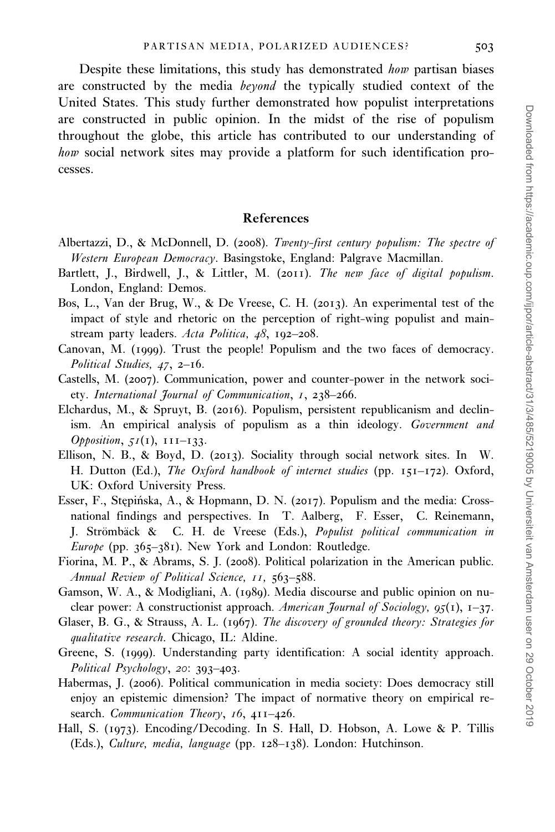<span id="page-19-0"></span>Despite these limitations, this study has demonstrated *how* partisan biases are constructed by the media beyond the typically studied context of the United States. This study further demonstrated how populist interpretations are constructed in public opinion. In the midst of the rise of populism throughout the globe, this article has contributed to our understanding of how social network sites may provide a platform for such identification processes.

#### References

- Albertazzi, D., & McDonnell, D. (2008). Twenty-first century populism: The spectre of Western European Democracy. Basingstoke, England: Palgrave Macmillan.
- Bartlett, J., Birdwell, J., & Littler, M. (2011). The new face of digital populism. London, England: Demos.
- Bos, L., Van der Brug, W., & De Vreese, C. H. (2013). An experimental test of the impact of style and rhetoric on the perception of right-wing populist and mainstream party leaders. Acta Politica, 48, 192-208.
- Canovan, M. (1999). Trust the people! Populism and the two faces of democracy. Political Studies, 47, 2–16.
- Castells, M. (2007). Communication, power and counter-power in the network society. International Journal of Communication, 1, 238–266.
- Elchardus, M., & Spruyt, B. (2016). Populism, persistent republicanism and declinism. An empirical analysis of populism as a thin ideology. Government and Opposition,  $5I(1)$ ,  $11I-133$ .
- Ellison, N. B., & Boyd, D. (2013). Sociality through social network sites. In W. H. Dutton (Ed.), The Oxford handbook of internet studies (pp. 151-172). Oxford, UK: Oxford University Press.
- Esser, F., Stepińska, A., & Hopmann, D. N. (2017). Populism and the media: Crossnational findings and perspectives. In T. Aalberg, F. Esser, C. Reinemann, J. Strömbäck  $\&\,C.$  H. de Vreese (Eds.), *Populist political communication in Europe* (pp.  $365-381$ ). New York and London: Routledge.
- Fiorina, M. P., & Abrams, S. J. (2008). Political polarization in the American public. Annual Review of Political Science, 11, 563–588.
- Gamson, W. A., & Modigliani, A. (1989). Media discourse and public opinion on nuclear power: A constructionist approach. American Journal of Sociology,  $q_5(i)$ ,  $i-37$ .
- Glaser, B. G., & Strauss, A. L. (1967). The discovery of grounded theory: Strategies for qualitative research. Chicago, IL: Aldine.
- Greene, S. (1999). Understanding party identification: A social identity approach. Political Psychology, 20: 393–403.
- Habermas, J. (2006). Political communication in media society: Does democracy still enjoy an epistemic dimension? The impact of normative theory on empirical research. Communication Theory, 16, 411-426.
- Hall, S. (1973). Encoding/Decoding. In S. Hall, D. Hobson, A. Lowe & P. Tillis (Eds.), Culture, media, language (pp. 128–138). London: Hutchinson.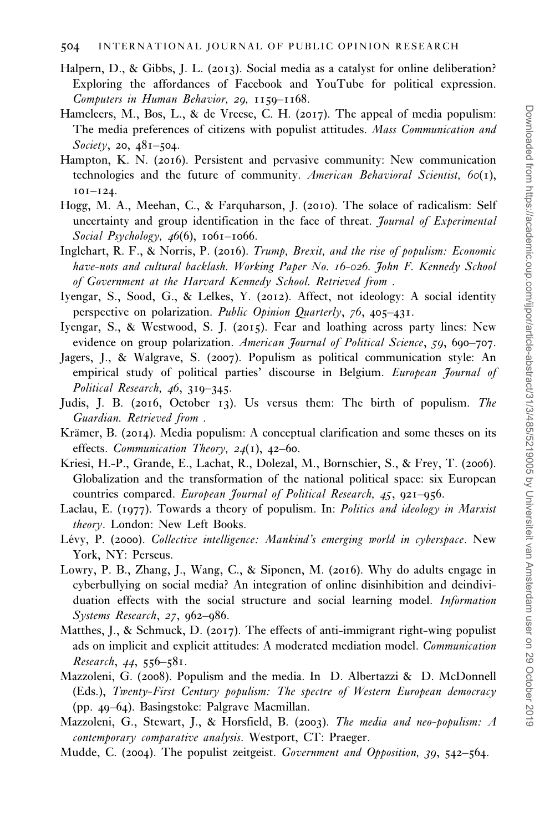- <span id="page-20-0"></span>Halpern, D., & Gibbs, J. L. (2013). Social media as a catalyst for online deliberation? Exploring the affordances of Facebook and YouTube for political expression. Computers in Human Behavior, 29, 1159–1168.
- Hameleers, M., Bos, L., & de Vreese, C. H. (2017). The appeal of media populism: The media preferences of citizens with populist attitudes. Mass Communication and  $Society, 20, 481 - 504.$
- Hampton, K. N. (2016). Persistent and pervasive community: New communication technologies and the future of community. American Behavioral Scientist,  $60(1)$ , 101–124.
- Hogg, M. A., Meehan, C., & Farquharson, J. (2010). The solace of radicalism: Self uncertainty and group identification in the face of threat. Journal of Experimental Social Psychology,  $46(6)$ , 1061–1066.
- Inglehart, R. F., & Norris, P. (2016). Trump, Brexit, and the rise of populism: Economic have-nots and cultural backlash. Working Paper No. 16-026. John F. Kennedy School of Government at the Harvard Kennedy School. Retrieved from [.](https://research.hks.harvard.edu/publications)
- Iyengar, S., Sood, G., & Lelkes, Y. (2012). Affect, not ideology: A social identity perspective on polarization. Public Opinion Quarterly, 76, 405–431.
- Iyengar, S., & Westwood, S. J. (2015). Fear and loathing across party lines: New evidence on group polarization. American Journal of Political Science, 59, 690–707.
- Jagers, J., & Walgrave, S. (2007). Populism as political communication style: An empirical study of political parties' discourse in Belgium. *European Journal of* Political Research, 46, 319–345.
- Judis, J. B. (2016, October 13). Us versus them: The birth of populism. The Guardian. Retrieved from [.](https://www.theguardian.com/politics/2016/oct/13/birth-of-populism-donald-trump)
- Krämer, B. (2014). Media populism: A conceptual clarification and some theses on its effects. Communication Theory,  $24(1)$ ,  $42-60$ .
- Kriesi, H.-P., Grande, E., Lachat, R., Dolezal, M., Bornschier, S., & Frey, T. (2006). Globalization and the transformation of the national political space: six European countries compared. European Journal of Political Research, 45, 921–956.
- Laclau, E. (1977). Towards a theory of populism. In: Politics and ideology in Marxist theory. London: New Left Books.
- Lévy, P. (2000). Collective intelligence: Mankind's emerging world in cyberspace. New York, NY: Perseus.
- Lowry, P. B., Zhang, J., Wang, C., & Siponen, M. (2016). Why do adults engage in cyberbullying on social media? An integration of online disinhibition and deindividuation effects with the social structure and social learning model. Information Systems Research, 27, 962–986.
- Matthes, J., & Schmuck, D. (2017). The effects of anti-immigrant right-wing populist ads on implicit and explicit attitudes: A moderated mediation model. Communication *Research*,  $44, 556 - 581$ .
- Mazzoleni, G. (2008). Populism and the media. In D. Albertazzi & D. McDonnell (Eds.), Twenty-First Century populism: The spectre of Western European democracy (pp. 49–64). Basingstoke: Palgrave Macmillan.
- Mazzoleni, G., Stewart, J., & Horsfield, B. (2003). The media and neo-populism: A contemporary comparative analysis. Westport, CT: Praeger.
- Mudde, C. (2004). The populist zeitgeist. Government and Opposition, 39, 542–564.